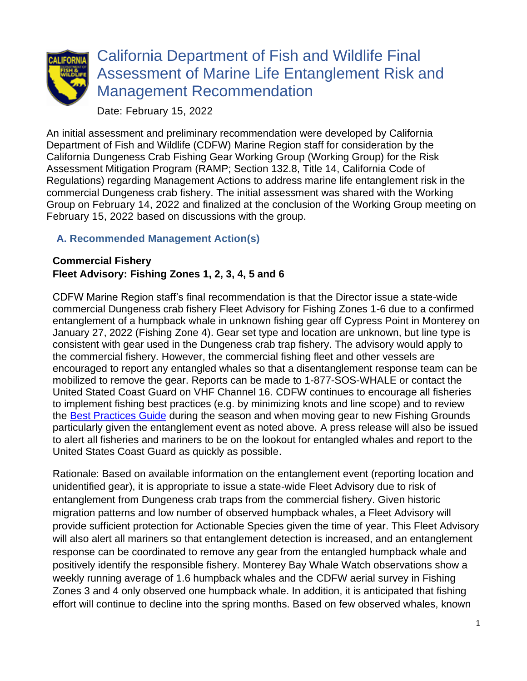

# California Department of Fish and Wildlife Final Assessment of Marine Life Entanglement Risk and Management Recommendation

Date: February 15, 2022

An initial assessment and preliminary recommendation were developed by California Department of Fish and Wildlife (CDFW) Marine Region staff for consideration by the California Dungeness Crab Fishing Gear Working Group (Working Group) for the Risk Assessment Mitigation Program (RAMP; Section 132.8, Title 14, California Code of Regulations) regarding Management Actions to address marine life entanglement risk in the commercial Dungeness crab fishery. The initial assessment was shared with the Working Group on February 14, 2022 and finalized at the conclusion of the Working Group meeting on February 15, 2022 based on discussions with the group.

## **A. Recommended Management Action(s)**

#### **Commercial Fishery Fleet Advisory: Fishing Zones 1, 2, 3, 4, 5 and 6**

CDFW Marine Region staff's final recommendation is that the Director issue a state-wide commercial Dungeness crab fishery Fleet Advisory for Fishing Zones 1-6 due to a confirmed entanglement of a humpback whale in unknown fishing gear off Cypress Point in Monterey on January 27, 2022 (Fishing Zone 4). Gear set type and location are unknown, but line type is consistent with gear used in the Dungeness crab trap fishery. The advisory would apply to the commercial fishery. However, the commercial fishing fleet and other vessels are encouraged to report any entangled whales so that a disentanglement response team can be mobilized to remove the gear. Reports can be made to 1-877-SOS-WHALE or contact the United Stated Coast Guard on VHF Channel 16. CDFW continues to encourage all fisheries to implement fishing best practices (e.g. by minimizing knots and line scope) and to review the [Best Practices Guide](https://nrm.dfg.ca.gov/FileHandler.ashx?DocumentID=195428&inline) during the season and when moving gear to new Fishing Grounds particularly given the entanglement event as noted above. A press release will also be issued to alert all fisheries and mariners to be on the lookout for entangled whales and report to the United States Coast Guard as quickly as possible.

Rationale: Based on available information on the entanglement event (reporting location and unidentified gear), it is appropriate to issue a state-wide Fleet Advisory due to risk of entanglement from Dungeness crab traps from the commercial fishery. Given historic migration patterns and low number of observed humpback whales, a Fleet Advisory will provide sufficient protection for Actionable Species given the time of year. This Fleet Advisory will also alert all mariners so that entanglement detection is increased, and an entanglement response can be coordinated to remove any gear from the entangled humpback whale and positively identify the responsible fishery. Monterey Bay Whale Watch observations show a weekly running average of 1.6 humpback whales and the CDFW aerial survey in Fishing Zones 3 and 4 only observed one humpback whale. In addition, it is anticipated that fishing effort will continue to decline into the spring months. Based on few observed whales, known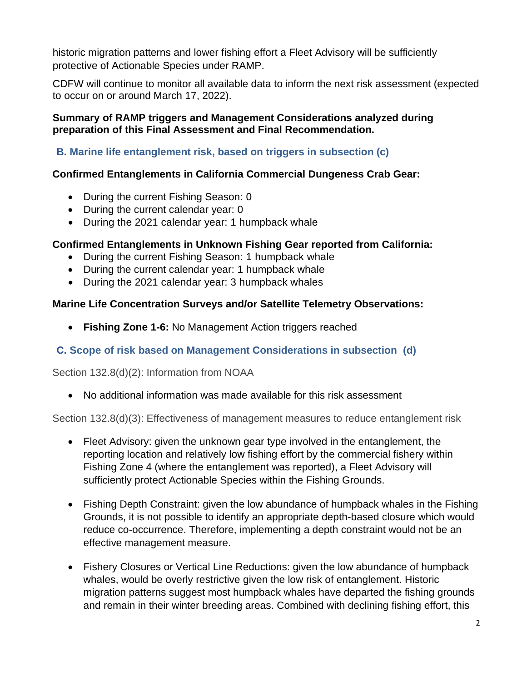historic migration patterns and lower fishing effort a Fleet Advisory will be sufficiently protective of Actionable Species under RAMP.

CDFW will continue to monitor all available data to inform the next risk assessment (expected to occur on or around March 17, 2022).

#### **Summary of RAMP triggers and Management Considerations analyzed during preparation of this Final Assessment and Final Recommendation.**

#### **B. Marine life entanglement risk, based on triggers in subsection (c)**

#### **Confirmed Entanglements in California Commercial Dungeness Crab Gear:**

- During the current Fishing Season: 0
- During the current calendar year: 0
- During the 2021 calendar year: 1 humpback whale

#### **Confirmed Entanglements in Unknown Fishing Gear reported from California:**

- During the current Fishing Season: 1 humpback whale
- During the current calendar year: 1 humpback whale
- During the 2021 calendar year: 3 humpback whales

#### **Marine Life Concentration Surveys and/or Satellite Telemetry Observations:**

• **Fishing Zone 1-6:** No Management Action triggers reached

### **C. Scope of risk based on Management Considerations in subsection (d)**

Section 132.8(d)(2): Information from NOAA

• No additional information was made available for this risk assessment

Section 132.8(d)(3): Effectiveness of management measures to reduce entanglement risk

- Fleet Advisory: given the unknown gear type involved in the entanglement, the reporting location and relatively low fishing effort by the commercial fishery within Fishing Zone 4 (where the entanglement was reported), a Fleet Advisory will sufficiently protect Actionable Species within the Fishing Grounds.
- Fishing Depth Constraint: given the low abundance of humpback whales in the Fishing Grounds, it is not possible to identify an appropriate depth-based closure which would reduce co-occurrence. Therefore, implementing a depth constraint would not be an effective management measure.
- Fishery Closures or Vertical Line Reductions: given the low abundance of humpback whales, would be overly restrictive given the low risk of entanglement. Historic migration patterns suggest most humpback whales have departed the fishing grounds and remain in their winter breeding areas. Combined with declining fishing effort, this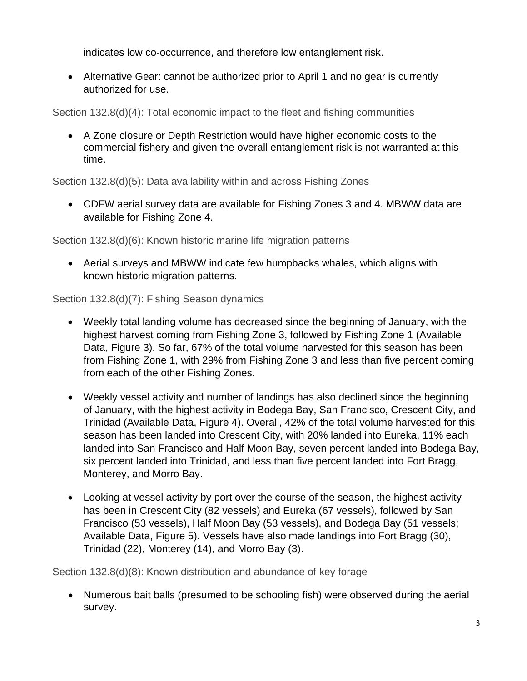indicates low co-occurrence, and therefore low entanglement risk.

• Alternative Gear: cannot be authorized prior to April 1 and no gear is currently authorized for use.

Section 132.8(d)(4): Total economic impact to the fleet and fishing communities

• A Zone closure or Depth Restriction would have higher economic costs to the commercial fishery and given the overall entanglement risk is not warranted at this time.

Section 132.8(d)(5): Data availability within and across Fishing Zones

• CDFW aerial survey data are available for Fishing Zones 3 and 4. MBWW data are available for Fishing Zone 4.

Section 132.8(d)(6): Known historic marine life migration patterns

• Aerial surveys and MBWW indicate few humpbacks whales, which aligns with known historic migration patterns.

Section 132.8(d)(7): Fishing Season dynamics

- Weekly total landing volume has decreased since the beginning of January, with the highest harvest coming from Fishing Zone 3, followed by Fishing Zone 1 (Available Data, Figure 3). So far, 67% of the total volume harvested for this season has been from Fishing Zone 1, with 29% from Fishing Zone 3 and less than five percent coming from each of the other Fishing Zones.
- Weekly vessel activity and number of landings has also declined since the beginning of January, with the highest activity in Bodega Bay, San Francisco, Crescent City, and Trinidad (Available Data, Figure 4). Overall, 42% of the total volume harvested for this season has been landed into Crescent City, with 20% landed into Eureka, 11% each landed into San Francisco and Half Moon Bay, seven percent landed into Bodega Bay, six percent landed into Trinidad, and less than five percent landed into Fort Bragg, Monterey, and Morro Bay.
- Looking at vessel activity by port over the course of the season, the highest activity has been in Crescent City (82 vessels) and Eureka (67 vessels), followed by San Francisco (53 vessels), Half Moon Bay (53 vessels), and Bodega Bay (51 vessels; Available Data, Figure 5). Vessels have also made landings into Fort Bragg (30), Trinidad (22), Monterey (14), and Morro Bay (3).

Section 132.8(d)(8): Known distribution and abundance of key forage

• Numerous bait balls (presumed to be schooling fish) were observed during the aerial survey.